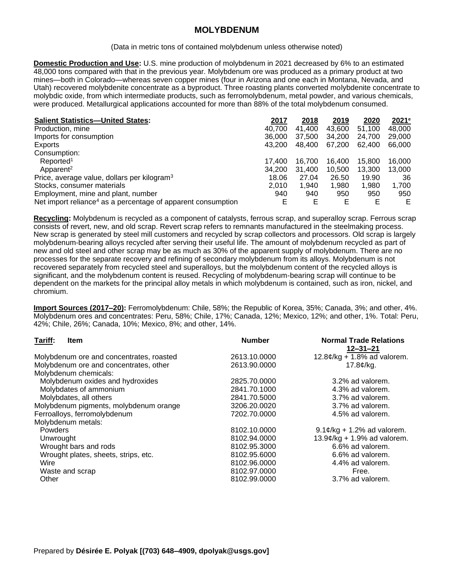## **MOLYBDENUM**

(Data in metric tons of contained molybdenum unless otherwise noted)

**Domestic Production and Use:** U.S. mine production of molybdenum in 2021 decreased by 6% to an estimated 48,000 tons compared with that in the previous year. Molybdenum ore was produced as a primary product at two mines—both in Colorado—whereas seven copper mines (four in Arizona and one each in Montana, Nevada, and Utah) recovered molybdenite concentrate as a byproduct. Three roasting plants converted molybdenite concentrate to molybdic oxide, from which intermediate products, such as ferromolybdenum, metal powder, and various chemicals, were produced. Metallurgical applications accounted for more than 88% of the total molybdenum consumed.

| <b>Salient Statistics-United States:</b>                                 | 2017   | 2018   | 2019   | 2020   | 2021e  |
|--------------------------------------------------------------------------|--------|--------|--------|--------|--------|
| Production, mine                                                         | 40.700 | 41,400 | 43,600 | 51.100 | 48,000 |
| Imports for consumption                                                  | 36,000 | 37,500 | 34,200 | 24,700 | 29,000 |
| Exports                                                                  | 43.200 | 48,400 | 67,200 | 62,400 | 66,000 |
| Consumption:                                                             |        |        |        |        |        |
| Reported <sup>1</sup>                                                    | 17.400 | 16.700 | 16.400 | 15.800 | 16.000 |
| Apparent <sup>2</sup>                                                    | 34.200 | 31.400 | 10.500 | 13.300 | 13.000 |
| Price, average value, dollars per kilogram <sup>3</sup>                  | 18.06  | 27.04  | 26.50  | 19.90  | 36     |
| Stocks, consumer materials                                               | 2.010  | 1.940  | 1,980  | 1,980  | 1,700  |
| Employment, mine and plant, number                                       | 940    | 940    | 950    | 950    | 950    |
| Net import reliance <sup>4</sup> as a percentage of apparent consumption | E      | E      | Е      | Е      | Е      |

**Recycling:** Molybdenum is recycled as a component of catalysts, ferrous scrap, and superalloy scrap. Ferrous scrap consists of revert, new, and old scrap. Revert scrap refers to remnants manufactured in the steelmaking process. New scrap is generated by steel mill customers and recycled by scrap collectors and processors. Old scrap is largely molybdenum-bearing alloys recycled after serving their useful life. The amount of molybdenum recycled as part of new and old steel and other scrap may be as much as 30% of the apparent supply of molybdenum. There are no processes for the separate recovery and refining of secondary molybdenum from its alloys. Molybdenum is not recovered separately from recycled steel and superalloys, but the molybdenum content of the recycled alloys is significant, and the molybdenum content is reused. Recycling of molybdenum-bearing scrap will continue to be dependent on the markets for the principal alloy metals in which molybdenum is contained, such as iron, nickel, and chromium.

**Import Sources (2017–20):** Ferromolybdenum: Chile, 58%; the Republic of Korea, 35%; Canada, 3%; and other, 4%. Molybdenum ores and concentrates: Peru, 58%; Chile, 17%; Canada, 12%; Mexico, 12%; and other, 1%. Total: Peru, 42%; Chile, 26%; Canada, 10%; Mexico, 8%; and other, 14%.

| Tariff:<br><b>Item</b>                   | <b>Number</b> | <b>Normal Trade Relations</b><br>$12 - 31 - 21$   |
|------------------------------------------|---------------|---------------------------------------------------|
| Molybdenum ore and concentrates, roasted | 2613.10.0000  | $12.8¢/kg + 1.8%$ ad valorem.                     |
| Molybdenum ore and concentrates, other   | 2613.90.0000  | $17.8$ ¢/kg.                                      |
| Molybdenum chemicals:                    |               |                                                   |
| Molybdenum oxides and hydroxides         | 2825.70.0000  | 3.2% ad valorem.                                  |
| Molybdates of ammonium                   | 2841.70.1000  | 4.3% ad valorem.                                  |
| Molybdates, all others                   | 2841.70.5000  | 3.7% ad valorem.                                  |
| Molybdenum pigments, molybdenum orange   | 3206.20.0020  | 3.7% ad valorem.                                  |
| Ferroalloys, ferromolybdenum             | 7202.70.0000  | 4.5% ad valorem.                                  |
| Molybdenum metals:                       |               |                                                   |
| <b>Powders</b>                           | 8102.10.0000  | $9.1¢/kg + 1.2%$ ad valorem.                      |
| Unwrought                                | 8102.94.0000  | $13.9$ $\mathcal{C}/\text{kg}$ + 1.9% ad valorem. |
| Wrought bars and rods                    | 8102.95.3000  | 6.6% ad valorem.                                  |
| Wrought plates, sheets, strips, etc.     | 8102.95.6000  | 6.6% ad valorem.                                  |
| Wire                                     | 8102.96.0000  | 4.4% ad valorem.                                  |
| Waste and scrap                          | 8102.97.0000  | Free.                                             |
| Other                                    | 8102.99.0000  | 3.7% ad valorem.                                  |